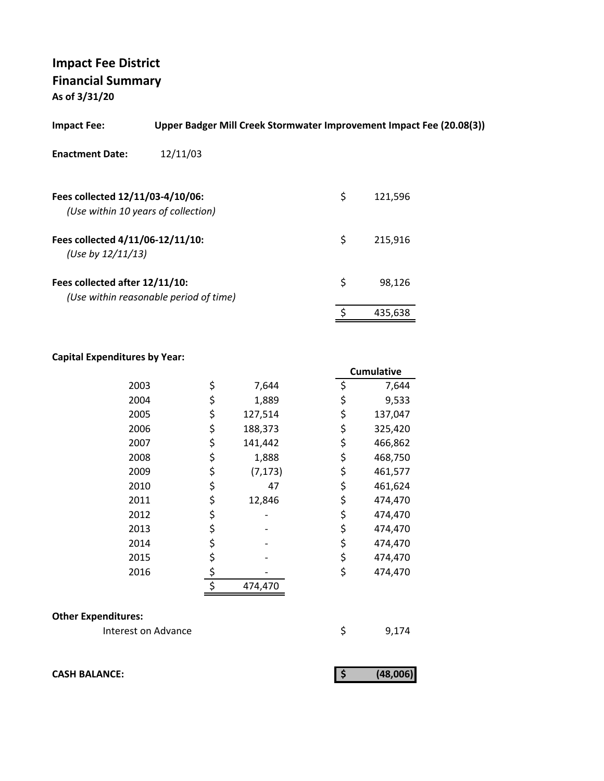**As of 3/31/20**

| <b>Impact Fee:</b>                                                      | Upper Badger Mill Creek Stormwater Improvement Impact Fee (20.08(3)) |               |  |
|-------------------------------------------------------------------------|----------------------------------------------------------------------|---------------|--|
| <b>Enactment Date:</b>                                                  | 12/11/03                                                             |               |  |
| Fees collected 12/11/03-4/10/06:<br>(Use within 10 years of collection) |                                                                      | \$<br>121,596 |  |
| Fees collected 4/11/06-12/11/10:<br>(Use by $12/11/13$ )                |                                                                      | \$<br>215,916 |  |
| Fees collected after 12/11/10:                                          | (Use within reasonable period of time)                               | \$<br>98.126  |  |
|                                                                         |                                                                      | 435,638       |  |

### **Capital Expenditures by Year:**

|      |                | <b>Cumulative</b> |
|------|----------------|-------------------|
| 2003 | \$<br>7,644    | \$<br>7,644       |
| 2004 | \$<br>1,889    | \$<br>9,533       |
| 2005 | \$<br>127,514  | \$<br>137,047     |
| 2006 | \$<br>188,373  | \$<br>325,420     |
| 2007 | \$<br>141,442  | \$<br>466,862     |
| 2008 | \$<br>1,888    | \$<br>468,750     |
| 2009 | \$<br>(7, 173) | \$<br>461,577     |
| 2010 | \$<br>47       | \$<br>461,624     |
| 2011 | \$<br>12,846   | \$<br>474,470     |
| 2012 | \$             | \$<br>474,470     |
| 2013 | \$             | \$<br>474,470     |
| 2014 | \$             | \$<br>474,470     |
| 2015 | \$             | \$<br>474,470     |
| 2016 | \$             | \$<br>474,470     |
|      | \$<br>474,470  |                   |

#### **Other Expenditures:**

Interest on Advance \$9,174

**CASH BALANCE:** (48,006)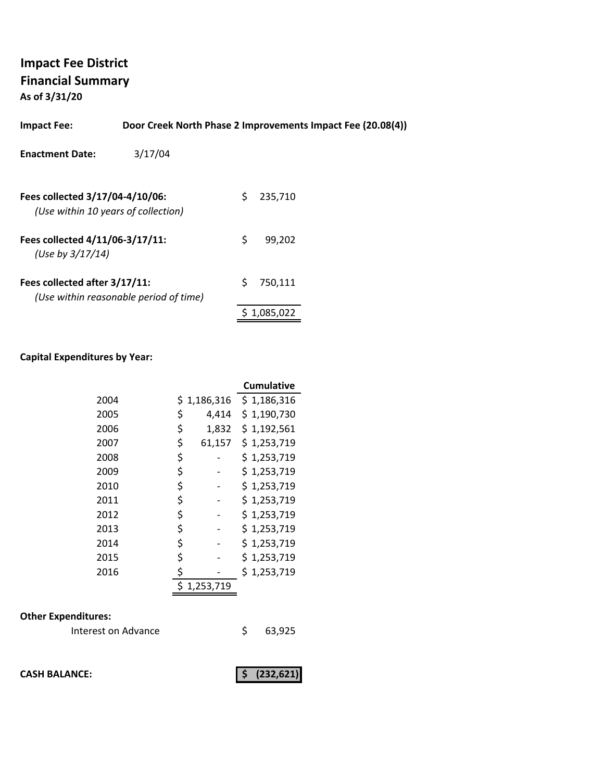**As of 3/31/20**

| <b>Impact Fee:</b>                                                     | Door Creek North Phase 2 Improvements Impact Fee (20.08(4)) |    |         |  |
|------------------------------------------------------------------------|-------------------------------------------------------------|----|---------|--|
| <b>Enactment Date:</b>                                                 | 3/17/04                                                     |    |         |  |
| Fees collected 3/17/04-4/10/06:<br>(Use within 10 years of collection) |                                                             | S. | 235,710 |  |
| Fees collected 4/11/06-3/17/11:<br>(Use by $3/17/14$ )                 |                                                             | S. | 99.202  |  |
| Fees collected after 3/17/11:                                          | (Use within reasonable period of time)                      | Ś  | 750,111 |  |

#### **Capital Expenditures by Year:**

|      |              | <b>Cumulative</b> |
|------|--------------|-------------------|
| 2004 | \$1,186,316  | \$1,186,316       |
| 2005 | \$<br>4,414  | \$1,190,730       |
| 2006 | \$<br>1,832  | \$1,192,561       |
| 2007 | \$<br>61,157 | \$1,253,719       |
| 2008 | \$           | \$1,253,719       |
| 2009 | \$           | \$1,253,719       |
| 2010 | \$           | \$1,253,719       |
| 2011 | \$           | \$1,253,719       |
| 2012 | \$           | \$1,253,719       |
| 2013 | \$           | \$1,253,719       |
| 2014 | \$           | \$1,253,719       |
| 2015 | \$           | \$1,253,719       |
| 2016 | \$           | \$1,253,719       |
|      | 1,253,719    |                   |

### **Other Expenditures:**

| Interest on Advance |  | 63,925 |
|---------------------|--|--------|
|---------------------|--|--------|

**CASH BALANCE:** (232,621)

\$ 1,085,022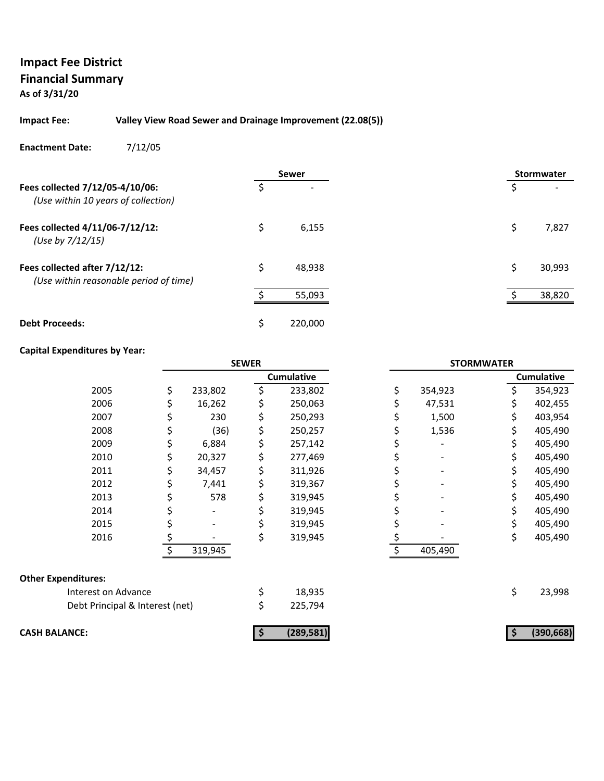**As of 3/31/20**

#### **Impact Fee: Valley View Road Sewer and Drainage Improvement (22.08(5))**

**Enactment Date:** 7/12/05

|                                                                         |    | <b>Sewer</b> |  |    | <b>Stormwater</b> |
|-------------------------------------------------------------------------|----|--------------|--|----|-------------------|
| Fees collected 7/12/05-4/10/06:<br>(Use within 10 years of collection)  | Ś  |              |  | \$ |                   |
| Fees collected 4/11/06-7/12/12:<br>(Use by 7/12/15)                     | \$ | 6,155        |  | S  | 7,827             |
| Fees collected after 7/12/12:<br>(Use within reasonable period of time) | Ś  | 48,938       |  | Ś  | 30,993            |
|                                                                         | ÷  | 55,093       |  |    | 38,820            |
| <b>Debt Proceeds:</b>                                                   | Ś  | 220,000      |  |    |                   |

#### **Capital Expenditures by Year:**

|                                 | <b>SEWER</b> |         |    | <b>STORMWATER</b> |               |     |                   |
|---------------------------------|--------------|---------|----|-------------------|---------------|-----|-------------------|
|                                 |              |         |    | <b>Cumulative</b> |               |     | <b>Cumulative</b> |
| 2005                            | \$           | 233,802 | \$ | 233,802           | \$<br>354,923 | Ś.  | 354,923           |
| 2006                            |              | 16,262  | \$ | 250,063           | 47,531        |     | 402,455           |
| 2007                            | Ş            | 230     | \$ | 250,293           | 1,500         | \$  | 403,954           |
| 2008                            | \$           | (36)    | \$ | 250,257           | 1,536         | \$  | 405,490           |
| 2009                            | \$           | 6,884   | \$ | 257,142           |               | S.  | 405,490           |
| 2010                            |              | 20,327  | \$ | 277,469           |               |     | 405,490           |
| 2011                            | \$           | 34,457  | \$ | 311,926           |               | \$. | 405,490           |
| 2012                            | \$           | 7,441   | \$ | 319,367           |               | \$. | 405,490           |
| 2013                            | Ş            | 578     | \$ | 319,945           |               | S.  | 405,490           |
| 2014                            |              | -       |    | 319,945           |               |     | 405,490           |
| 2015                            |              |         | \$ | 319,945           |               | \$  | 405,490           |
| 2016                            | \$           |         | \$ | 319,945           |               | \$  | 405,490           |
|                                 |              | 319,945 |    |                   | 405,490       |     |                   |
| <b>Other Expenditures:</b>      |              |         |    |                   |               |     |                   |
| Interest on Advance             |              |         | \$ | 18,935            |               | \$  | 23,998            |
| Debt Principal & Interest (net) |              |         | \$ | 225,794           |               |     |                   |
| <b>CASH BALANCE:</b>            |              |         |    | (289, 581)        |               |     | (390, 668)        |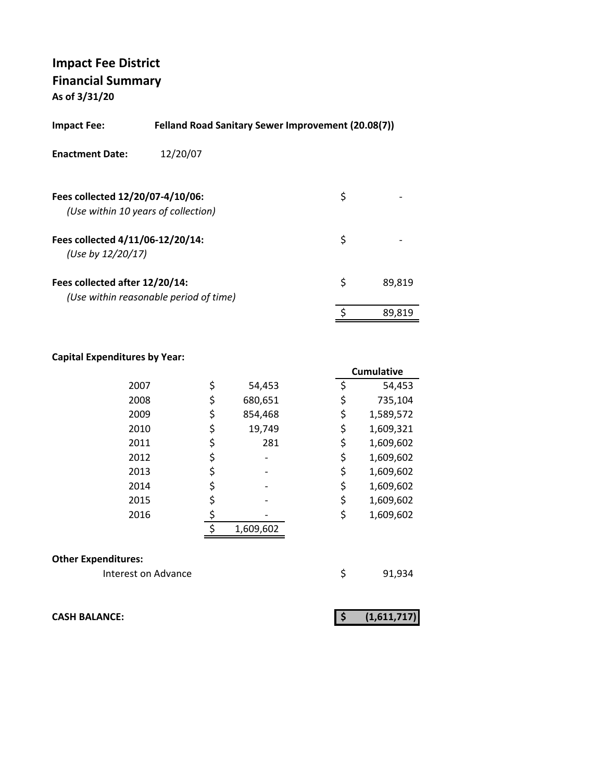**As of 3/31/20**

| Impact Fee:                                           | <b>Felland Road Sanitary Sewer Improvement (20.08(7))</b> |    |        |
|-------------------------------------------------------|-----------------------------------------------------------|----|--------|
| <b>Enactment Date:</b>                                | 12/20/07                                                  |    |        |
| Fees collected 12/20/07-4/10/06:                      | (Use within 10 years of collection)                       | \$ |        |
| Fees collected 4/11/06-12/20/14:<br>(Use by 12/20/17) |                                                           | \$ |        |
| Fees collected after 12/20/14:                        | (Use within reasonable period of time)                    | \$ | 89,819 |
|                                                       |                                                           | \$ | 89.819 |

#### **Capital Expenditures by Year:**

|      |               |    | Cumulative |
|------|---------------|----|------------|
| 2007 | \$<br>54,453  | \$ | 54,453     |
| 2008 | \$<br>680,651 | \$ | 735,104    |
| 2009 | \$<br>854,468 | \$ | 1,589,572  |
| 2010 | \$<br>19,749  | \$ | 1,609,321  |
| 2011 | 281           | \$ | 1,609,602  |
| 2012 |               | \$ | 1,609,602  |
| 2013 |               | \$ | 1,609,602  |
| 2014 | \$            | \$ | 1,609,602  |
| 2015 |               | \$ | 1,609,602  |
| 2016 |               | \$ | 1,609,602  |
|      | 1,609,602     |    |            |
|      |               |    |            |

#### **Other Expenditures:**

Interest on Advance **1998** \$91,934

**CASH BALANCE:** (1,611,717)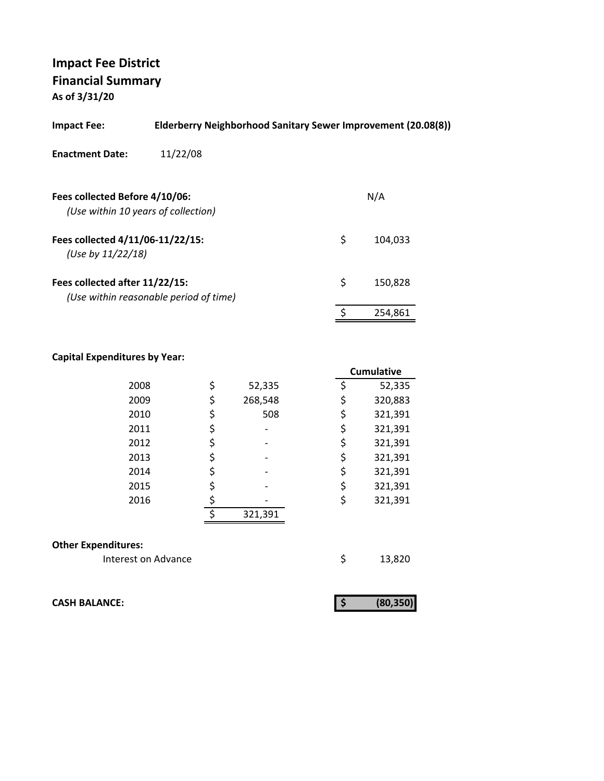**As of 3/31/20**

| 11/22/08<br><b>Enactment Date:</b>                                                        |  |
|-------------------------------------------------------------------------------------------|--|
|                                                                                           |  |
| Fees collected Before 4/10/06:<br>N/A<br>(Use within 10 years of collection)              |  |
| \$<br>Fees collected 4/11/06-11/22/15:<br>104,033<br>(Use by $11/22/18$ )                 |  |
| \$<br>Fees collected after 11/22/15:<br>150,828<br>(Use within reasonable period of time) |  |
| 254.861                                                                                   |  |

#### **Capital Expenditures by Year:**

|                            |    |         | <b>Cumulative</b> |
|----------------------------|----|---------|-------------------|
| 2008                       | \$ | 52,335  | \$<br>52,335      |
| 2009                       | \$ | 268,548 | \$<br>320,883     |
| 2010                       | \$ | 508     | \$<br>321,391     |
| 2011                       | \$ |         | \$<br>321,391     |
| 2012                       | \$ |         | \$<br>321,391     |
| 2013                       | \$ |         | \$<br>321,391     |
| 2014                       | \$ |         | \$<br>321,391     |
| 2015                       | \$ |         | \$<br>321,391     |
| 2016                       | \$ |         | \$<br>321,391     |
|                            | ¢  | 321,391 |                   |
|                            |    |         |                   |
| <b>Other Expenditures:</b> |    |         |                   |
| Interest on Advance        |    |         | \$<br>13,820      |

**CASH BALANCE: (80,350) \$** 

|--|--|--|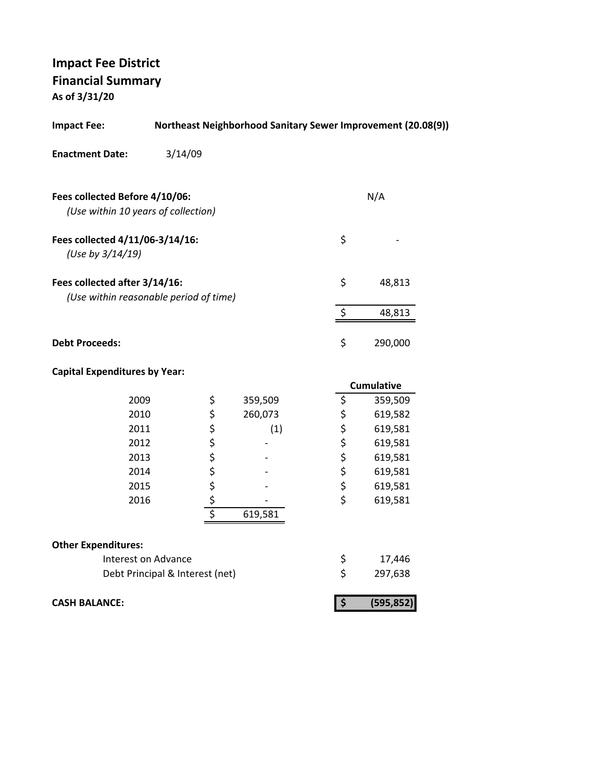**As of 3/31/20**

| <b>Impact Fee:</b>                                                      | Northeast Neighborhood Sanitary Sewer Improvement (20.08(9)) |                  |         |  |                                 |                   |
|-------------------------------------------------------------------------|--------------------------------------------------------------|------------------|---------|--|---------------------------------|-------------------|
| <b>Enactment Date:</b>                                                  | 3/14/09                                                      |                  |         |  |                                 |                   |
| Fees collected Before 4/10/06:<br>(Use within 10 years of collection)   |                                                              |                  |         |  |                                 | N/A               |
| Fees collected 4/11/06-3/14/16:<br>(Use by 3/14/19)                     |                                                              |                  |         |  | \$                              |                   |
| Fees collected after 3/14/16:<br>(Use within reasonable period of time) |                                                              |                  |         |  | \$                              | 48,813            |
|                                                                         |                                                              |                  |         |  | \$                              | 48,813            |
| <b>Debt Proceeds:</b>                                                   |                                                              |                  |         |  | \$                              | 290,000           |
| <b>Capital Expenditures by Year:</b>                                    |                                                              |                  |         |  |                                 |                   |
|                                                                         |                                                              |                  |         |  |                                 | <b>Cumulative</b> |
| 2009                                                                    |                                                              | \$               | 359,509 |  | \$                              | 359,509           |
| 2010                                                                    |                                                              | \$\$\$\$\$\$\$\$ | 260,073 |  | \$\$\$                          | 619,582           |
| 2011                                                                    |                                                              |                  | (1)     |  |                                 | 619,581           |
| 2012                                                                    |                                                              |                  |         |  |                                 | 619,581           |
| 2013                                                                    |                                                              |                  |         |  | \$                              | 619,581           |
| 2014                                                                    |                                                              |                  |         |  | \$                              | 619,581           |
| 2015                                                                    |                                                              |                  |         |  | \$                              | 619,581           |
| 2016                                                                    |                                                              |                  |         |  | \$                              | 619,581           |
|                                                                         |                                                              |                  | 619,581 |  |                                 |                   |
| <b>Other Expenditures:</b>                                              |                                                              |                  |         |  |                                 |                   |
| Interest on Advance                                                     |                                                              |                  |         |  | \$                              | 17,446            |
|                                                                         | Debt Principal & Interest (net)                              |                  |         |  | \$                              | 297,638           |
| <b>CASH BALANCE:</b>                                                    |                                                              |                  |         |  | $\overline{\boldsymbol{\zeta}}$ | (595, 852)        |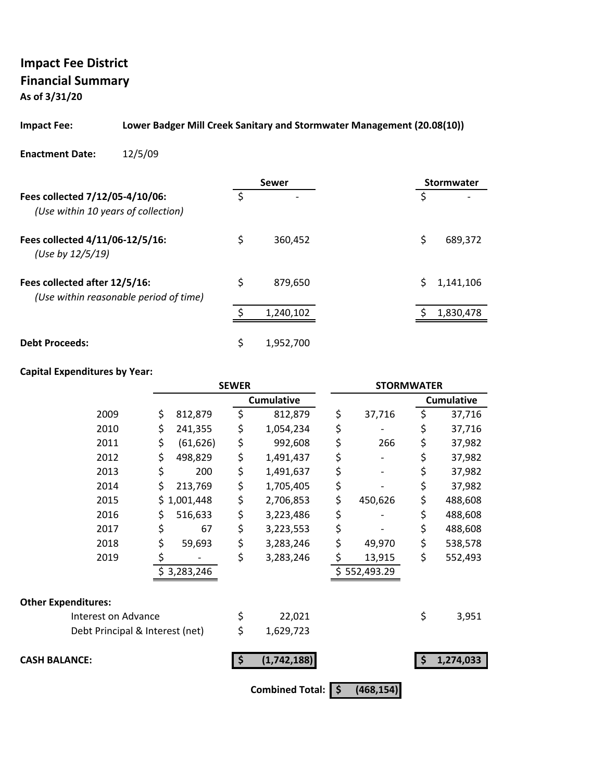**As of 3/31/20**

#### **Impact Fee: Lower Badger Mill Creek Sanitary and Stormwater Management (20.08(10))**

**Enactment Date:** 12/5/09

|                                                                         |    | Sewer                    | Stormwater     |
|-------------------------------------------------------------------------|----|--------------------------|----------------|
| Fees collected 7/12/05-4/10/06:<br>(Use within 10 years of collection)  | Ś  | $\overline{\phantom{0}}$ | \$             |
| Fees collected 4/11/06-12/5/16:<br>(Use by 12/5/19)                     | \$ | 360.452                  | \$<br>689,372  |
| Fees collected after 12/5/16:<br>(Use within reasonable period of time) | \$ | 879.650                  | S<br>1,141,106 |
|                                                                         |    | 1,240,102                | 1,830,478      |
| <b>Debt Proceeds:</b>                                                   | \$ | 1,952,700                |                |

### **Capital Expenditures by Year:**

|                                 | <b>SEWER</b> |             |    | <b>STORMWATER</b> |    |              |    |                   |
|---------------------------------|--------------|-------------|----|-------------------|----|--------------|----|-------------------|
|                                 |              |             |    | <b>Cumulative</b> |    |              |    | <b>Cumulative</b> |
| 2009                            | \$           | 812,879     | \$ | 812,879           | \$ | 37,716       | \$ | 37,716            |
| 2010                            | \$           | 241,355     | \$ | 1,054,234         | \$ |              | \$ | 37,716            |
| 2011                            | \$           | (61, 626)   | \$ | 992,608           | \$ | 266          | \$ | 37,982            |
| 2012                            | \$           | 498,829     | \$ | 1,491,437         | \$ |              | \$ | 37,982            |
| 2013                            | \$           | 200         | \$ | 1,491,637         | \$ |              | \$ | 37,982            |
| 2014                            | \$           | 213,769     | \$ | 1,705,405         | \$ |              | \$ | 37,982            |
| 2015                            | \$.          | 1,001,448   | \$ | 2,706,853         | \$ | 450,626      | \$ | 488,608           |
| 2016                            | Ş            | 516,633     | \$ | 3,223,486         | \$ |              | \$ | 488,608           |
| 2017                            | \$           | 67          | \$ | 3,223,553         | \$ |              | \$ | 488,608           |
| 2018                            | \$           | 59,693      | \$ | 3,283,246         | \$ | 49,970       | \$ | 538,578           |
| 2019                            | \$           |             | \$ | 3,283,246         | \$ | 13,915       | \$ | 552,493           |
|                                 |              | \$3,283,246 |    |                   |    | \$552,493.29 |    |                   |
| <b>Other Expenditures:</b>      |              |             |    |                   |    |              |    |                   |
| Interest on Advance             |              |             | \$ | 22,021            |    |              | \$ | 3,951             |
| Debt Principal & Interest (net) |              |             | \$ | 1,629,723         |    |              |    |                   |
| <b>CASH BALANCE:</b>            |              |             | \$ | (1,742,188)       |    |              |    | 1,274,033         |
|                                 |              |             |    | Combined Total: 5 |    | (468, 154)   |    |                   |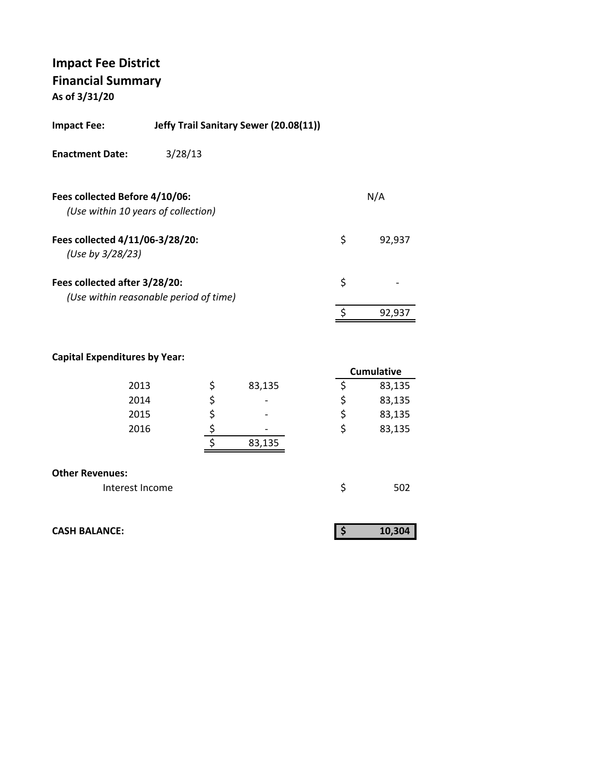**As of 3/31/20**

| <b>Impact Fee:</b>                                  | Jeffy Trail Sanitary Sewer (20.08(11)) |    |        |
|-----------------------------------------------------|----------------------------------------|----|--------|
| <b>Enactment Date:</b>                              | 3/28/13                                |    |        |
| Fees collected Before 4/10/06:                      | (Use within 10 years of collection)    |    | N/A    |
| Fees collected 4/11/06-3/28/20:<br>(Use by 3/28/23) |                                        | \$ | 92,937 |
| Fees collected after 3/28/20:                       | (Use within reasonable period of time) | \$ |        |
|                                                     |                                        | Ś. | 92.937 |
|                                                     |                                        |    |        |

#### **Capital Expenditures by Year:**

|                        |              |    | <b>Cumulative</b> |
|------------------------|--------------|----|-------------------|
| 2013                   | \$<br>83,135 |    | 83,135            |
| 2014                   | \$<br>-      | \$ | 83,135            |
| 2015                   | \$<br>-      | \$ | 83,135            |
| 2016                   |              | \$ | 83,135            |
|                        | 83,135       |    |                   |
|                        |              |    |                   |
| <b>Other Revenues:</b> |              |    |                   |
| Interest Income        |              | S  | 502               |

|  | <b>CASH BALANCE:</b> |
|--|----------------------|
|--|----------------------|

| <b>CASH BALANCE:</b> | 10,304 |
|----------------------|--------|
|                      |        |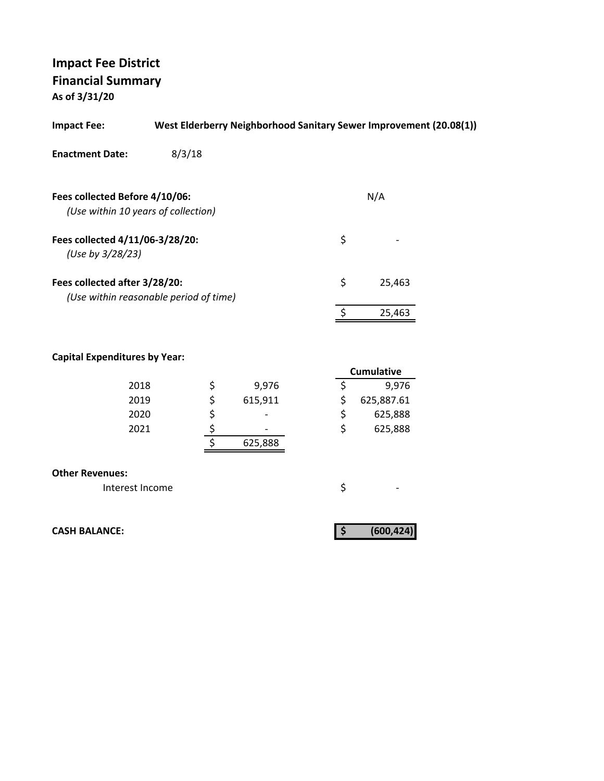**As of 3/31/20**

| <b>Impact Fee:</b>                                                      |        |      | West Elderberry Neighborhood Sanitary Sewer Improvement (20.08(1)) |                   |  |
|-------------------------------------------------------------------------|--------|------|--------------------------------------------------------------------|-------------------|--|
| <b>Enactment Date:</b>                                                  | 8/3/18 |      |                                                                    |                   |  |
| Fees collected Before 4/10/06:                                          |        |      |                                                                    | N/A               |  |
| (Use within 10 years of collection)                                     |        |      |                                                                    |                   |  |
| Fees collected 4/11/06-3/28/20:<br>(Use by 3/28/23)                     |        |      |                                                                    | \$                |  |
| Fees collected after 3/28/20:<br>(Use within reasonable period of time) |        |      |                                                                    | \$<br>25,463      |  |
|                                                                         |        |      |                                                                    | \$<br>25,463      |  |
| <b>Capital Expenditures by Year:</b>                                    |        |      |                                                                    | <b>Cumulative</b> |  |
| 2018                                                                    |        |      | 9,976                                                              | \$<br>9,976       |  |
| 2019                                                                    |        |      | 615,911                                                            | \$<br>625,887.61  |  |
| 2020                                                                    |        |      |                                                                    | \$<br>625,888     |  |
| 2021                                                                    |        | さんそう | 625,888                                                            | \$<br>625,888     |  |
| <b>Other Revenues:</b>                                                  |        |      |                                                                    |                   |  |
| Interest Income                                                         |        |      |                                                                    | \$                |  |
| <b>CASH BALANCE:</b>                                                    |        |      |                                                                    | \$<br>(600, 424)  |  |